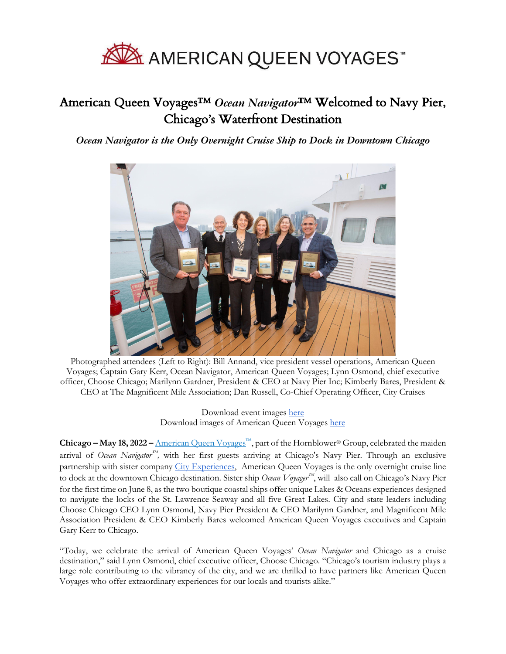

## American Queen Voyages™ *Ocean Navigator*™ Welcomed to Navy Pier, Chicago's Waterfront Destination

*Ocean Navigator is the Only Overnight Cruise Ship to Dock in Downtown Chicago*



Photographed attendees (Left to Right): Bill Annand, vice president vessel operations, American Queen Voyages; Captain Gary Kerr, Ocean Navigator, American Queen Voyages; Lynn Osmond, chief executive officer, Choose Chicago; Marilynn Gardner, President & CEO at Navy Pier Inc; Kimberly Bares, President & CEO at The Magnificent Mile Association; Dan Russell, Co-Chief Operating Officer, City Cruises

> Download event images here Download images of American Queen Voyages here

**Chicago – May 18, 2022 –** American Queen Voyages™, part of the Hornblower® Group, celebrated the maiden arrival of *Ocean Navigator™*, with her first guests arriving at Chicago's Navy Pier. Through an exclusive partnership with sister company City Experiences, American Queen Voyages is the only overnight cruise line to dock at the downtown Chicago destination. Sister ship *Ocean Voyager*™ , will also call on Chicago's Navy Pier for the first time on June 8, as the two boutique coastal ships offer unique Lakes & Oceans experiences designed to navigate the locks of the St. Lawrence Seaway and all five Great Lakes. City and state leaders including Choose Chicago CEO Lynn Osmond, Navy Pier President & CEO Marilynn Gardner, and Magnificent Mile Association President & CEO Kimberly Bares welcomed American Queen Voyages executives and Captain Gary Kerr to Chicago.

"Today, we celebrate the arrival of American Queen Voyages' *Ocean Navigator* and Chicago as a cruise destination," said Lynn Osmond, chief executive officer, Choose Chicago. "Chicago's tourism industry plays a large role contributing to the vibrancy of the city, and we are thrilled to have partners like American Queen Voyages who offer extraordinary experiences for our locals and tourists alike."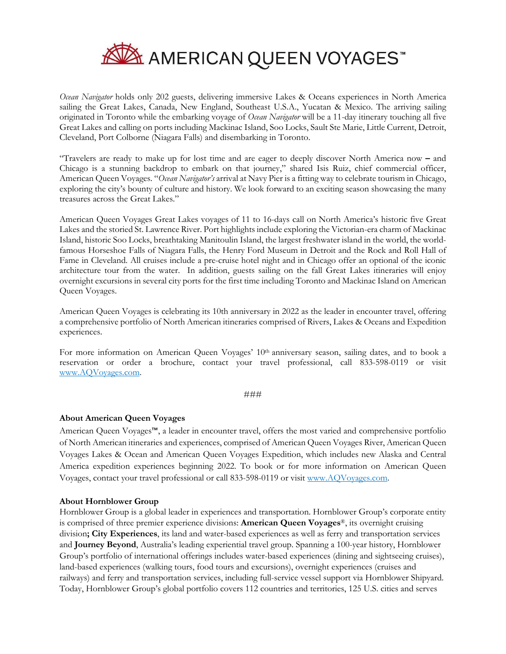

*Ocean Navigator* holds only 202 guests, delivering immersive Lakes & Oceans experiences in North America sailing the Great Lakes, Canada, New England, Southeast U.S.A., Yucatan & Mexico. The arriving sailing originated in Toronto while the embarking voyage of *Ocean Navigator* will be a 11-day itinerary touching all five Great Lakes and calling on ports including Mackinac Island, Soo Locks, Sault Ste Marie, Little Current, Detroit, Cleveland, Port Colborne (Niagara Falls) and disembarking in Toronto.

"Travelers are ready to make up for lost time and are eager to deeply discover North America now **–** and Chicago is a stunning backdrop to embark on that journey," shared Isis Ruiz, chief commercial officer, American Queen Voyages. "*Ocean Navigator's* arrival at Navy Pier is a fitting way to celebrate tourism in Chicago, exploring the city's bounty of culture and history. We look forward to an exciting season showcasing the many treasures across the Great Lakes."

American Queen Voyages Great Lakes voyages of 11 to 16-days call on North America's historic five Great Lakes and the storied St. Lawrence River. Port highlights include exploring the Victorian-era charm of Mackinac Island, historic Soo Locks, breathtaking Manitoulin Island, the largest freshwater island in the world, the worldfamous Horseshoe Falls of Niagara Falls, the Henry Ford Museum in Detroit and the Rock and Roll Hall of Fame in Cleveland. All cruises include a pre-cruise hotel night and in Chicago offer an optional of the iconic architecture tour from the water. In addition, guests sailing on the fall Great Lakes itineraries will enjoy overnight excursions in several city ports for the first time including Toronto and Mackinac Island on American Queen Voyages.

American Queen Voyages is celebrating its 10th anniversary in 2022 as the leader in encounter travel, offering a comprehensive portfolio of North American itineraries comprised of Rivers, Lakes & Oceans and Expedition experiences.

For more information on American Queen Voyages' 10<sup>th</sup> anniversary season, sailing dates, and to book a reservation or order a brochure, contact your travel professional, call 833-598-0119 or visit www.AQVoyages.com.

###

## **About American Queen Voyages**

American Queen Voyages™, a leader in encounter travel, offers the most varied and comprehensive portfolio of North American itineraries and experiences, comprised of American Queen Voyages River, American Queen Voyages Lakes & Ocean and American Queen Voyages Expedition, which includes new Alaska and Central America expedition experiences beginning 2022. To book or for more information on American Queen Voyages, contact your travel professional or call 833-598-0119 or visit www.AQVoyages.com.

## **About Hornblower Group**

Hornblower Group is a global leader in experiences and transportation. Hornblower Group's corporate entity is comprised of three premier experience divisions: **American Queen Voyages**®, its overnight cruising division**; City Experiences**, its land and water-based experiences as well as ferry and transportation services and **Journey Beyond**, Australia's leading experiential travel group. Spanning a 100-year history, Hornblower Group's portfolio of international offerings includes water-based experiences (dining and sightseeing cruises), land-based experiences (walking tours, food tours and excursions), overnight experiences (cruises and railways) and ferry and transportation services, including full-service vessel support via Hornblower Shipyard. Today, Hornblower Group's global portfolio covers 112 countries and territories, 125 U.S. cities and serves